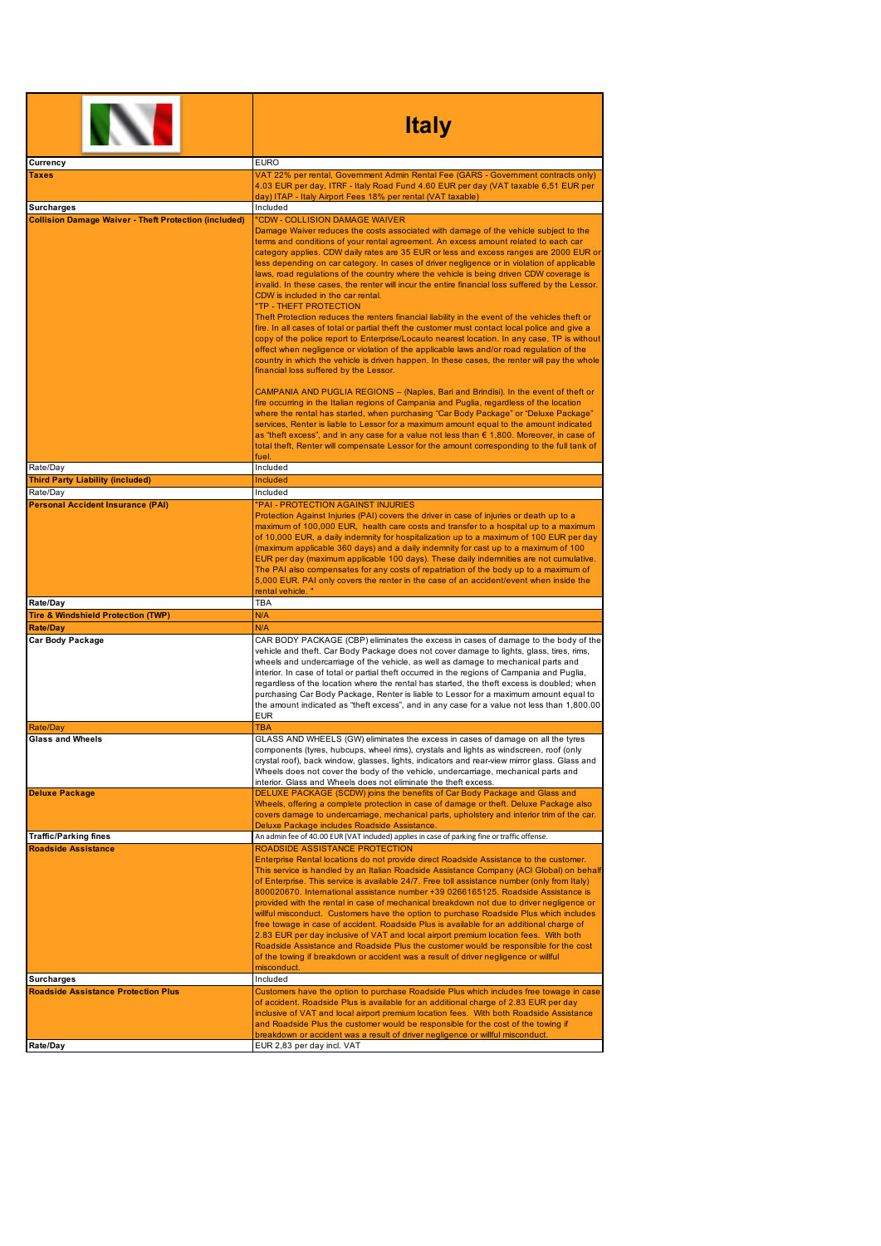|                                                              | <b>Italy</b>                                                                                                                                                                                                                                                                                                                                                                                                                                                                                                                                                                                                                                                                                                                                                                                                                                                                                                                                                                                                                                                                                                                                                                                                    |
|--------------------------------------------------------------|-----------------------------------------------------------------------------------------------------------------------------------------------------------------------------------------------------------------------------------------------------------------------------------------------------------------------------------------------------------------------------------------------------------------------------------------------------------------------------------------------------------------------------------------------------------------------------------------------------------------------------------------------------------------------------------------------------------------------------------------------------------------------------------------------------------------------------------------------------------------------------------------------------------------------------------------------------------------------------------------------------------------------------------------------------------------------------------------------------------------------------------------------------------------------------------------------------------------|
| Currency                                                     | <b>EURO</b>                                                                                                                                                                                                                                                                                                                                                                                                                                                                                                                                                                                                                                                                                                                                                                                                                                                                                                                                                                                                                                                                                                                                                                                                     |
| Taxes                                                        | VAT 22% per rental, Government Admin Rental Fee (GARS - Government contracts only)<br>4.03 EUR per day, ITRF - Italy Road Fund 4.60 EUR per day (VAT taxable 6,51 EUR per<br>day) ITAP - Italy Airport Fees 18% per rental (VAT taxable)                                                                                                                                                                                                                                                                                                                                                                                                                                                                                                                                                                                                                                                                                                                                                                                                                                                                                                                                                                        |
| <b>Surcharges</b>                                            | Included                                                                                                                                                                                                                                                                                                                                                                                                                                                                                                                                                                                                                                                                                                                                                                                                                                                                                                                                                                                                                                                                                                                                                                                                        |
| <b>Collision Damage Waiver - Theft Protection (included)</b> | "CDW - COLLISION DAMAGE WAIVER<br>Damage Waiver reduces the costs associated with damage of the vehicle subject to the<br>terms and conditions of your rental agreement. An excess amount related to each car<br>category applies. CDW daily rates are 35 EUR or less and excess ranges are 2000 EUR or<br>less depending on car category. In cases of driver negligence or in violation of applicable<br>laws, road regulations of the country where the vehicle is being driven CDW coverage is<br>invalid. In these cases, the renter will incur the entire financial loss suffered by the Lessor.<br>CDW is included in the car rental.<br>"TP - THEFT PROTECTION<br>Theft Protection reduces the renters financial liability in the event of the vehicles theft or<br>fire. In all cases of total or partial theft the customer must contact local police and give a<br>copy of the police report to Enterprise/Locauto nearest location. In any case, TP is without<br>effect when negligence or violation of the applicable laws and/or road regulation of the<br>country in which the vehicle is driven happen. In these cases, the renter will pay the whole<br>financial loss suffered by the Lessor. |
|                                                              | CAMPANIA AND PUGLIA REGIONS - (Naples, Bari and Brindisi). In the event of theft or<br>fire occurring in the Italian regions of Campania and Puglia, regardless of the location<br>where the rental has started, when purchasing "Car Body Package" or "Deluxe Package"<br>services, Renter is liable to Lessor for a maximum amount equal to the amount indicated<br>as "theft excess", and in any case for a value not less than € 1,800. Moreover, in case of<br>total theft, Renter will compensate Lessor for the amount corresponding to the full tank of<br>fuel.                                                                                                                                                                                                                                                                                                                                                                                                                                                                                                                                                                                                                                        |
| Rate/Day                                                     | Included                                                                                                                                                                                                                                                                                                                                                                                                                                                                                                                                                                                                                                                                                                                                                                                                                                                                                                                                                                                                                                                                                                                                                                                                        |
| <b>Third Party Liability (included)</b>                      | <b>Included</b>                                                                                                                                                                                                                                                                                                                                                                                                                                                                                                                                                                                                                                                                                                                                                                                                                                                                                                                                                                                                                                                                                                                                                                                                 |
| Rate/Day<br><b>Personal Accident Insurance (PAI)</b>         | Included<br>"PAI-PROTECTION AGAINST INJURIES                                                                                                                                                                                                                                                                                                                                                                                                                                                                                                                                                                                                                                                                                                                                                                                                                                                                                                                                                                                                                                                                                                                                                                    |
|                                                              | Protection Against Injuries (PAI) covers the driver in case of injuries or death up to a<br>maximum of 100,000 EUR, health care costs and transfer to a hospital up to a maximum<br>of 10,000 EUR, a daily indemnity for hospitalization up to a maximum of 100 EUR per day<br>(maximum applicable 360 days) and a daily indemnity for cast up to a maximum of 100<br>EUR per day (maximum applicable 100 days). These daily indemnities are not cumulative.<br>The PAI also compensates for any costs of repatriation of the body up to a maximum of<br>5,000 EUR. PAI only covers the renter in the case of an accident/event when inside the<br>rental vehicle."                                                                                                                                                                                                                                                                                                                                                                                                                                                                                                                                             |
| Rate/Day                                                     | <b>TBA</b>                                                                                                                                                                                                                                                                                                                                                                                                                                                                                                                                                                                                                                                                                                                                                                                                                                                                                                                                                                                                                                                                                                                                                                                                      |
| <b>Tire &amp; Windshield Protection (TWP)</b>                | N/A                                                                                                                                                                                                                                                                                                                                                                                                                                                                                                                                                                                                                                                                                                                                                                                                                                                                                                                                                                                                                                                                                                                                                                                                             |
| Rate/Day                                                     | N/A                                                                                                                                                                                                                                                                                                                                                                                                                                                                                                                                                                                                                                                                                                                                                                                                                                                                                                                                                                                                                                                                                                                                                                                                             |
| Car Body Package                                             | CAR BODY PACKAGE (CBP) eliminates the excess in cases of damage to the body of the<br>vehicle and theft. Car Body Package does not cover damage to lights, glass, tires, rims,<br>wheels and undercarriage of the vehicle, as well as damage to mechanical parts and<br>interior. In case of total or partial theft occurred in the regions of Campania and Puglia,<br>regardless of the location where the rental has started, the theft excess is doubled; when<br>purchasing Car Body Package, Renter is liable to Lessor for a maximum amount equal to<br>the amount indicated as "theft excess", and in any case for a value not less than 1,800.00<br><b>EUR</b>                                                                                                                                                                                                                                                                                                                                                                                                                                                                                                                                          |
| Rate/Day                                                     | TBA                                                                                                                                                                                                                                                                                                                                                                                                                                                                                                                                                                                                                                                                                                                                                                                                                                                                                                                                                                                                                                                                                                                                                                                                             |
| <b>Glass and Wheels</b>                                      | GLASS AND WHEELS (GW) eliminates the excess in cases of damage on all the tyres<br>components (tyres, hubcups, wheel rims), crystals and lights as windscreen, roof (only<br>crystal roof), back window, glasses, lights, indicators and rear-view mirror glass. Glass and<br>Wheels does not cover the body of the vehicle, undercarriage, mechanical parts and<br>interior. Glass and Wheels does not eliminate the theft excess.                                                                                                                                                                                                                                                                                                                                                                                                                                                                                                                                                                                                                                                                                                                                                                             |
| <b>Deluxe Package</b>                                        | DELUXE PACKAGE (SCDW) joins the benefits of Car Body Package and Glass and<br>Wheels, offering a complete protection in case of damage or theft. Deluxe Package also<br>covers damage to undercarriage, mechanical parts, upholstery and interior trim of the car.<br>Deluxe Package includes Roadside Assistance.                                                                                                                                                                                                                                                                                                                                                                                                                                                                                                                                                                                                                                                                                                                                                                                                                                                                                              |
| <b>Traffic/Parking fines</b>                                 | An admin fee of 40.00 EUR (VAT included) applies in case of parking fine or traffic offense.                                                                                                                                                                                                                                                                                                                                                                                                                                                                                                                                                                                                                                                                                                                                                                                                                                                                                                                                                                                                                                                                                                                    |
| <b>Roadside Assistance</b>                                   | ROADSIDE ASSISTANCE PROTECTION<br>Enterprise Rental locations do not provide direct Roadside Assistance to the customer.<br>This service is handled by an Italian Roadside Assistance Company (ACI Global) on behalf<br>of Enterprise. This service is available 24/7. Free toll assistance number (only from Italy)<br>800020670. International assistance number +39 0266165125. Roadside Assistance is<br>provided with the rental in case of mechanical breakdown not due to driver negligence or<br>willful misconduct. Customers have the option to purchase Roadside Plus which includes<br>free towage in case of accident. Roadside Plus is available for an additional charge of<br>2.83 EUR per day inclusive of VAT and local airport premium location fees. With both<br>Roadside Assistance and Roadside Plus the customer would be responsible for the cost<br>of the towing if breakdown or accident was a result of driver negligence or willful<br>misconduct.                                                                                                                                                                                                                                |
| <b>Surcharges</b>                                            | Included                                                                                                                                                                                                                                                                                                                                                                                                                                                                                                                                                                                                                                                                                                                                                                                                                                                                                                                                                                                                                                                                                                                                                                                                        |
| <b>Roadside Assistance Protection Plus</b>                   | Customers have the option to purchase Roadside Plus which includes free towage in case<br>of accident. Roadside Plus is available for an additional charge of 2.83 EUR per day<br>inclusive of VAT and local airport premium location fees. With both Roadside Assistance<br>and Roadside Plus the customer would be responsible for the cost of the towing if<br>breakdown or accident was a result of driver negligence or willful misconduct.                                                                                                                                                                                                                                                                                                                                                                                                                                                                                                                                                                                                                                                                                                                                                                |
| Rate/Day                                                     | EUR 2,83 per day incl. VAT                                                                                                                                                                                                                                                                                                                                                                                                                                                                                                                                                                                                                                                                                                                                                                                                                                                                                                                                                                                                                                                                                                                                                                                      |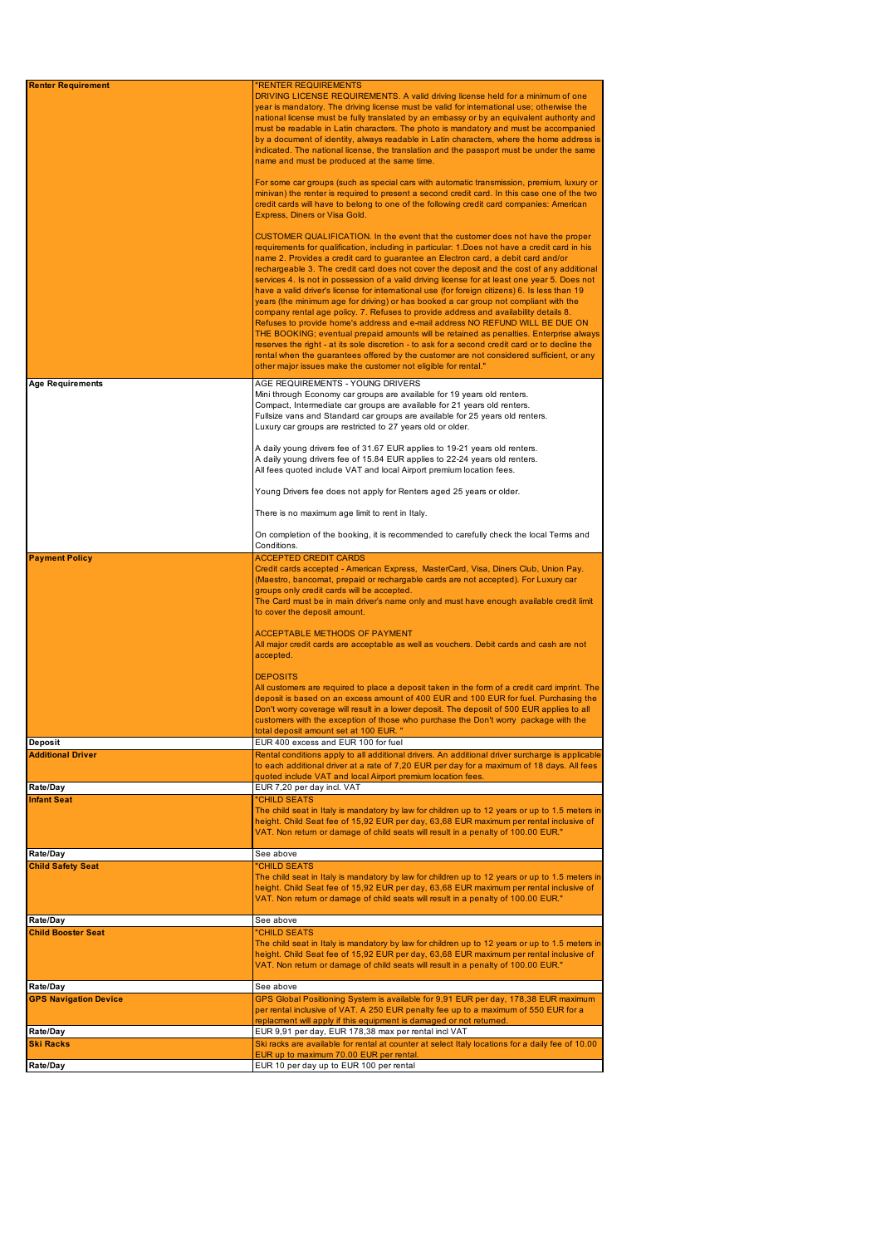| <b>Renter Requirement</b>    | <b>RENTER REQUIREMENTS</b>                                                                            |
|------------------------------|-------------------------------------------------------------------------------------------------------|
|                              | DRIVING LICENSE REQUIREMENTS. A valid driving license held for a minimum of one                       |
|                              | year is mandatory. The driving license must be valid for international use; otherwise the             |
|                              | national license must be fully translated by an embassy or by an equivalent authority and             |
|                              | must be readable in Latin characters. The photo is mandatory and must be accompanied                  |
|                              | by a document of identity, always readable in Latin characters, where the home address is             |
|                              | indicated. The national license, the translation and the passport must be under the same              |
|                              | name and must be produced at the same time.                                                           |
|                              |                                                                                                       |
|                              | For some car groups (such as special cars with automatic transmission, premium, luxury or             |
|                              | minivan) the renter is required to present a second credit card. In this case one of the two          |
|                              | credit cards will have to belong to one of the following credit card companies: American              |
|                              | Express, Diners or Visa Gold.                                                                         |
|                              |                                                                                                       |
|                              | CUSTOMER QUALIFICATION. In the event that the customer does not have the proper                       |
|                              | requirements for qualification, including in particular: 1.Does not have a credit card in his         |
|                              | name 2. Provides a credit card to guarantee an Electron card, a debit card and/or                     |
|                              | rechargeable 3. The credit card does not cover the deposit and the cost of any additional             |
|                              | services 4. Is not in possession of a valid driving license for at least one year 5. Does not         |
|                              | have a valid driver's license for international use (for foreign citizens) 6. Is less than 19         |
|                              | years (the minimum age for driving) or has booked a car group not compliant with the                  |
|                              | company rental age policy. 7. Refuses to provide address and availability details 8.                  |
|                              | Refuses to provide home's address and e-mail address NO REFUND WILL BE DUE ON                         |
|                              | THE BOOKING; eventual prepaid amounts will be retained as penalties. Enterprise always                |
|                              | reserves the right - at its sole discretion - to ask for a second credit card or to decline the       |
|                              | rental when the guarantees offered by the customer are not considered sufficient, or any              |
|                              | other major issues make the customer not eligible for rental."                                        |
|                              |                                                                                                       |
| <b>Age Requirements</b>      | AGE REQUIREMENTS - YOUNG DRIVERS                                                                      |
|                              | Mini through Economy car groups are available for 19 years old renters.                               |
|                              | Compact, Intermediate car groups are available for 21 years old renters.                              |
|                              | Fullsize vans and Standard car groups are available for 25 years old renters.                         |
|                              | Luxury car groups are restricted to 27 years old or older.                                            |
|                              |                                                                                                       |
|                              | A daily young drivers fee of 31.67 EUR applies to 19-21 years old renters.                            |
|                              | A daily young drivers fee of 15.84 EUR applies to 22-24 years old renters.                            |
|                              | All fees quoted include VAT and local Airport premium location fees.                                  |
|                              |                                                                                                       |
|                              | Young Drivers fee does not apply for Renters aged 25 years or older.                                  |
|                              |                                                                                                       |
|                              | There is no maximum age limit to rent in Italy.                                                       |
|                              |                                                                                                       |
|                              | On completion of the booking, it is recommended to carefully check the local Terms and<br>Conditions. |
|                              | <b>ACCEPTED CREDIT CARDS</b>                                                                          |
| <b>Payment Policy</b>        |                                                                                                       |
|                              |                                                                                                       |
|                              | Credit cards accepted - American Express, MasterCard, Visa, Diners Club, Union Pay.                   |
|                              | (Maestro, bancomat, prepaid or rechargable cards are not accepted). For Luxury car                    |
|                              | groups only credit cards will be accepted.                                                            |
|                              | The Card must be in main driver's name only and must have enough available credit limit               |
|                              | to cover the deposit amount.                                                                          |
|                              |                                                                                                       |
|                              | <b>ACCEPTABLE METHODS OF PAYMENT</b>                                                                  |
|                              | All major credit cards are acceptable as well as vouchers. Debit cards and cash are not               |
|                              | accepted.                                                                                             |
|                              | <b>DEPOSITS</b>                                                                                       |
|                              | All customers are required to place a deposit taken in the form of a credit card imprint. The         |
|                              | deposit is based on an excess amount of 400 EUR and 100 EUR for fuel. Purchasing the                  |
|                              | Don't worry coverage will result in a lower deposit. The deposit of 500 EUR applies to all            |
|                              | customers with the exception of those who purchase the Don't worry package with the                   |
|                              | total deposit amount set at 100 EUR. "                                                                |
| Deposit                      | EUR 400 excess and EUR 100 for fuel                                                                   |
| <b>Additional Driver</b>     | Rental conditions apply to all additional drivers. An additional driver surcharge is applicable       |
|                              | to each additional driver at a rate of 7,20 EUR per day for a maximum of 18 days. All fees            |
|                              | quoted include VAT and local Airport premium location fees.                                           |
| Rate/Day                     | EUR 7,20 per day incl. VAT                                                                            |
| <b>Infant Seat</b>           | "CHILD SEATS                                                                                          |
|                              | The child seat in Italy is mandatory by law for children up to 12 years or up to 1.5 meters in        |
|                              | height. Child Seat fee of 15,92 EUR per day, 63,68 EUR maximum per rental inclusive of                |
|                              | VAT. Non return or damage of child seats will result in a penalty of 100.00 EUR."                     |
|                              |                                                                                                       |
| Rate/Day                     | See above                                                                                             |
| <b>Child Safety Seat</b>     | "CHILD SEATS                                                                                          |
|                              | The child seat in Italy is mandatory by law for children up to 12 years or up to 1.5 meters in        |
|                              | height. Child Seat fee of 15,92 EUR per day, 63,68 EUR maximum per rental inclusive of                |
|                              | VAT. Non return or damage of child seats will result in a penalty of 100.00 EUR."                     |
|                              | See above                                                                                             |
| Rate/Day                     |                                                                                                       |
| <b>Child Booster Seat</b>    | "CHILD SEATS                                                                                          |
|                              | The child seat in Italy is mandatory by law for children up to 12 years or up to 1.5 meters in        |
|                              | height. Child Seat fee of 15,92 EUR per day, 63,68 EUR maximum per rental inclusive of                |
|                              | VAT. Non return or damage of child seats will result in a penalty of 100.00 EUR."                     |
| Rate/Day                     | See above                                                                                             |
| <b>GPS Navigation Device</b> | GPS Global Positioning System is available for 9,91 EUR per day, 178,38 EUR maximum                   |
|                              | per rental inclusive of VAT. A 250 EUR penalty fee up to a maximum of 550 EUR for a                   |
|                              | replacment will apply if this equipment is damaged or not returned.                                   |
| Rate/Day                     | EUR 9,91 per day, EUR 178,38 max per rental incl VAT                                                  |
| <b>Ski Racks</b>             | Ski racks are available for rental at counter at select Italy locations for a daily fee of 10.00      |
|                              | EUR up to maximum 70.00 EUR per rental.<br>EUR 10 per day up to EUR 100 per rental                    |